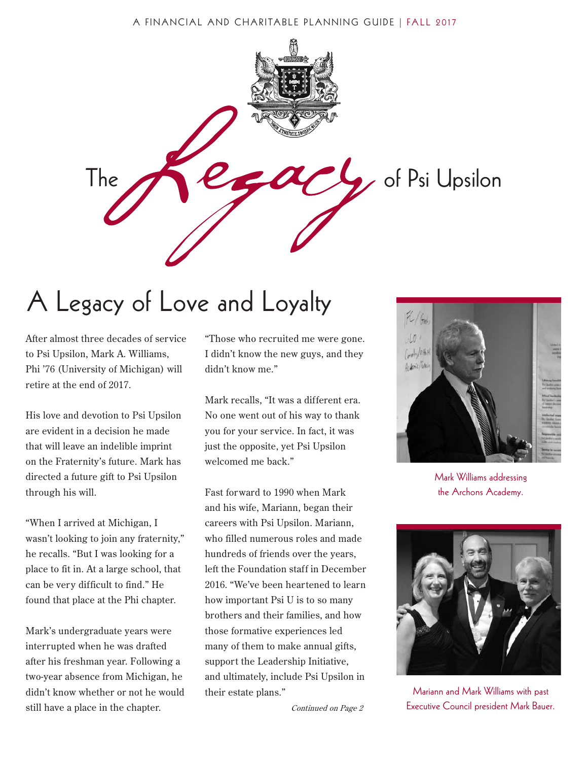#### A FINANCIAL AND CHARITABLE PLANNING GUIDE | FALL 2017



# A Legacy of Love and Loyalty

After almost three decades of service to Psi Upsilon, Mark A. Williams, Phi '76 (University of Michigan) will retire at the end of 2017.

His love and devotion to Psi Upsilon are evident in a decision he made that will leave an indelible imprint on the Fraternity's future. Mark has directed a future gift to Psi Upsilon through his will.

"When I arrived at Michigan, I wasn't looking to join any fraternity," he recalls. "But I was looking for a place to fit in. At a large school, that can be very difficult to find." He found that place at the Phi chapter.

Mark's undergraduate years were interrupted when he was drafted after his freshman year. Following a two-year absence from Michigan, he didn't know whether or not he would still have a place in the chapter.

"Those who recruited me were gone. I didn't know the new guys, and they didn't know me."

Mark recalls, "It was a different era. No one went out of his way to thank you for your service. In fact, it was just the opposite, yet Psi Upsilon welcomed me back."

Fast forward to 1990 when Mark and his wife, Mariann, began their careers with Psi Upsilon. Mariann, who filled numerous roles and made hundreds of friends over the years, left the Foundation staff in December 2016. "We've been heartened to learn how important Psi U is to so many brothers and their families, and how those formative experiences led many of them to make annual gifts, support the Leadership Initiative, and ultimately, include Psi Upsilon in their estate plans."

Continued on Page 2



Mark Williams addressing the Archons Academy.



Mariann and Mark Williams with past Executive Council president Mark Bauer.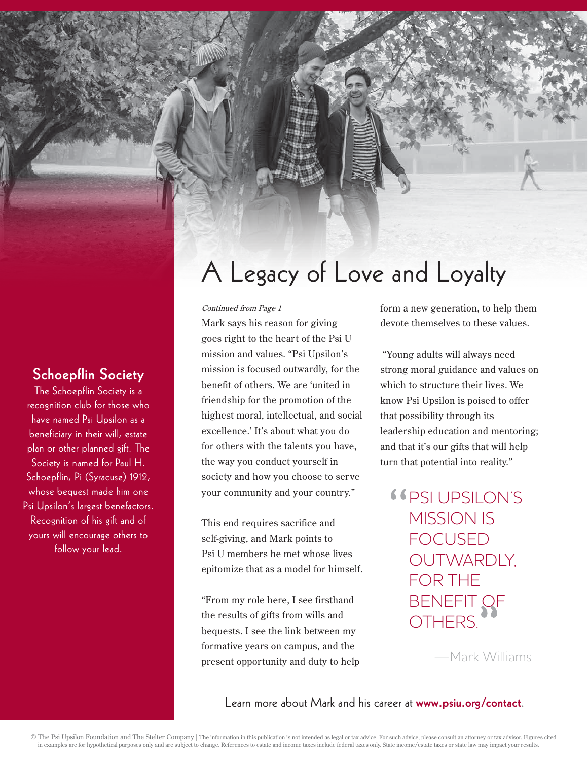### Schoepflin Society

The Schoepflin Society is a recognition club for those who have named Psi Upsilon as a beneficiary in their will, estate plan or other planned gift. The Society is named for Paul H. Schoepflin, Pi (Syracuse) 1912, whose bequest made him one Psi Upsilon's largest benefactors. Recognition of his gift and of yours will encourage others to follow your lead.

# A Legacy of Love and Loyalty

#### Continued from Page 1

Mark says his reason for giving goes right to the heart of the Psi U mission and values. "Psi Upsilon's mission is focused outwardly, for the benefit of others. We are 'united in friendship for the promotion of the highest moral, intellectual, and social excellence.' It's about what you do for others with the talents you have, the way you conduct yourself in society and how you choose to serve your community and your country."

This end requires sacrifice and self-giving, and Mark points to Psi U members he met whose lives epitomize that as a model for himself.

"From my role here, I see firsthand the results of gifts from wills and bequests. I see the link between my formative years on campus, and the present opportunity and duty to help form a new generation, to help them devote themselves to these values.

 "Young adults will always need strong moral guidance and values on which to structure their lives. We know Psi Upsilon is poised to offer that possibility through its leadership education and mentoring; and that it's our gifts that will help turn that potential into reality."

**COSILUPSILON'S** MISSION IS FOCUSED OUTWARDLY, FOR THE BENEFIT OF OTHERS.

—Mark Williams

Learn more about Mark and his career at www.psiu.org/contact.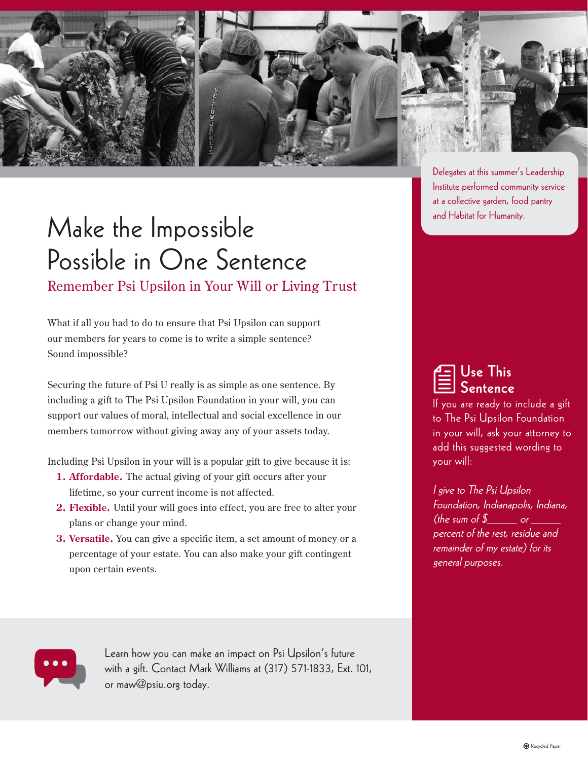

## Make the Impossible Possible in One Sentence Remember Psi Upsilon in Your Will or Living Trust

What if all you had to do to ensure that Psi Upsilon can support our members for years to come is to write a simple sentence? Sound impossible?

Securing the future of Psi U really is as simple as one sentence. By including a gift to The Psi Upsilon Foundation in your will, you can support our values of moral, intellectual and social excellence in our members tomorrow without giving away any of your assets today.

Including Psi Upsilon in your will is a popular gift to give because it is:

- **1. Affordable.** The actual giving of your gift occurs after your lifetime, so your current income is not affected.
- **2. Flexible.** Until your will goes into effect, you are free to alter your plans or change your mind.
- **3. Versatile.** You can give a specific item, a set amount of money or a percentage of your estate. You can also make your gift contingent upon certain events.

Delegates at this summer's Leadership Institute performed community service at a collective garden, food pantry and Habitat for Humanity.

 Use This Sentence

If you are ready to include a gift to The Psi Upsilon Foundation in your will, ask your attorney to add this suggested wording to your will:

I give to The Psi Upsilon Foundation, Indianapolis, Indiana, (the sum of  $\sqrt[6]{\frac{1}{2}}$  or  $\frac{1}{2}$ percent of the rest, residue and remainder of my estate) for its general purposes.



Learn how you can make an impact on Psi Upsilon's future with a gift. Contact Mark Williams at (317) 571-1833, Ext. 101, or maw@psiu.org today.